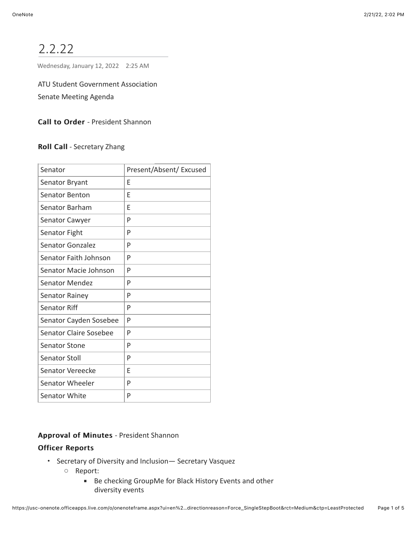# 2.2.22

Wednesday, January 12, 2022 2:25 AM

ATU Student Government Association Senate Meeting Agenda

Call to Order - President Shannon

Roll Call - Secretary Zhang

| Senator                       | Present/Absent/ Excused |
|-------------------------------|-------------------------|
| Senator Bryant                | F                       |
| Senator Benton                | F                       |
| Senator Barham                | F                       |
| <b>Senator Cawyer</b>         | P                       |
| Senator Fight                 | P                       |
| Senator Gonzalez              | P                       |
| Senator Faith Johnson         | P                       |
| Senator Macie Johnson         | P                       |
| Senator Mendez                | P                       |
| <b>Senator Rainey</b>         | P                       |
| Senator Riff                  | P                       |
| Senator Cayden Sosebee        | P                       |
| <b>Senator Claire Sosebee</b> | P                       |
| <b>Senator Stone</b>          | P                       |
| Senator Stoll                 | P                       |
| Senator Vereecke              | E                       |
| Senator Wheeler               | P                       |
| <b>Senator White</b>          | P                       |

Approval of Minutes - President Shannon

# **Officer Reports**

- Secretary of Diversity and Inclusion— Secretary Vasquez
	- Report:
		- Be checking GroupMe for Black History Events and other diversity events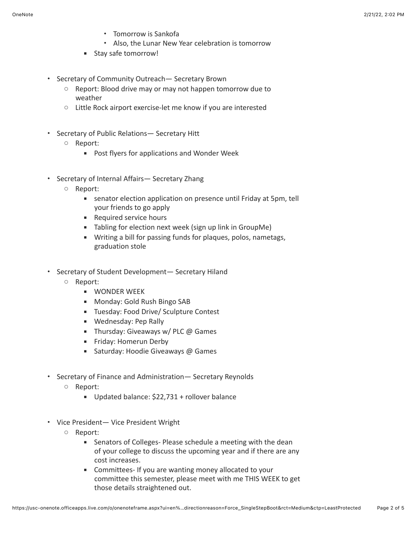- Tomorrow is Sankofa
- Also, the Lunar New Year celebration is tomorrow
- Stay safe tomorrow!
- Secretary of Community Outreach— Secretary Brown
	- Report: Blood drive may or may not happen tomorrow due to weather
	- Little Rock airport exercise-let me know if you are interested
- Secretary of Public Relations— Secretary Hitt
	- Report:
		- Post flyers for applications and Wonder Week
- Secretary of Internal Affairs— Secretary Zhang
	- Report:
		- senator election application on presence until Friday at 5pm, tell your friends to go apply
		- Required service hours
		- Tabling for election next week (sign up link in GroupMe)
		- **■** Writing a bill for passing funds for plaques, polos, nametags, graduation stole
- Secretary of Student Development— Secretary Hiland
	- Report:
		- **WONDER WEEK**
		- Monday: Gold Rush Bingo SAB
		- Tuesday: Food Drive/ Sculpture Contest
		- Wednesday: Pep Rally
		- **EXECUTE:** Thursday: Giveaways w/ PLC  $\omega$  Games
		- **Example 1** Friday: Homerun Derby
		- Saturday: Hoodie Giveaways @ Games
- Secretary of Finance and Administration— Secretary Reynolds
	- Report:
		- Updated balance: \$22,731 + rollover balance
- Vice President— Vice President Wright
	- Report:
		- Senators of Colleges- Please schedule a meeting with the dean of your college to discuss the upcoming year and if there are any cost increases.
		- Committees- If you are wanting money allocated to your committee this semester, please meet with me THIS WEEK to get those details straightened out.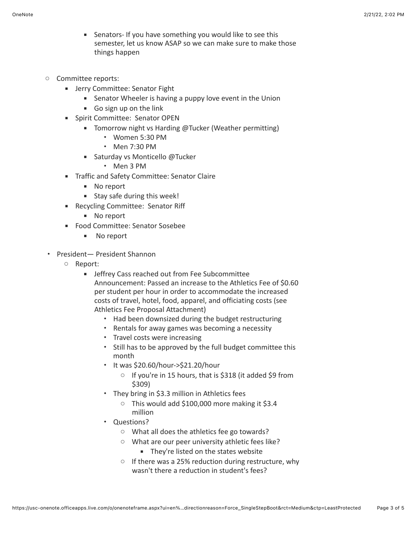- Senators- If you have something you would like to see this semester, let us know ASAP so we can make sure to make those things happen
- Committee reports:
	- **EXECOMMITTEE: Senator Fight** 
		- Senator Wheeler is having a puppy love event in the Union
		- Go sign up on the link
	- **EXECOMMITTEE: Senator OPEN** 
		- Tomorrow night vs Harding @Tucker (Weather permitting)
			- Women 5:30 PM
			- Men 7:30 PM
		- Saturday vs Monticello @Tucker
			- Men 3 PM
	- **Traffic and Safety Committee: Senator Claire** 
		- No report
		- Stay safe during this week!
	- Recycling Committee: Senator Riff
		- No report
	- Food Committee: Senator Sosebee
		- No report
- President— President Shannon
	- Report:
		- **EXEC** Jeffrey Cass reached out from Fee Subcommittee Announcement: Passed an increase to the Athletics Fee of \$0.60 per student per hour in order to accommodate the increased costs of travel, hotel, food, apparel, and officiating costs (see Athletics Fee Proposal Attachment)
			- Had been downsized during the budget restructuring
			- Rentals for away games was becoming a necessity
			- Travel costs were increasing
			- Still has to be approved by the full budget committee this month
			- It was \$20.60/hour->\$21.20/hour
				- If you're in 15 hours, that is \$318 (it added \$9 from \$309)
			- They bring in \$3.3 million in Athletics fees
				- This would add \$100,000 more making it \$3.4 million
			- Questions?
				- What all does the athletics fee go towards?
				- What are our peer university athletic fees like?
					- **They're listed on the states website**
				- If there was a 25% reduction during restructure, why wasn't there a reduction in student's fees?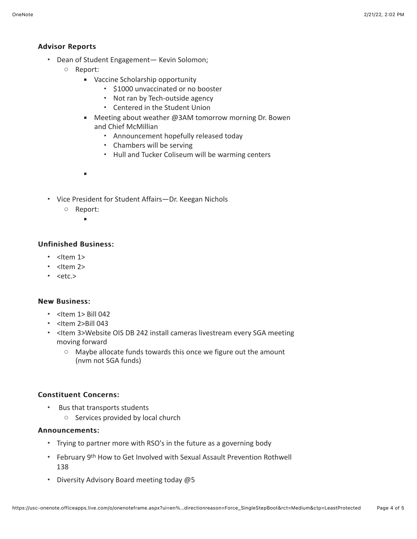# Advisor Reports Advisor Reports

- Dean of Student Engagement— Kevin Solomon;
	- Report:
		- Vaccine Scholarship opportunity
			- \$1000 unvaccinated or no booster
			- Not ran by Tech-outside agency
			- Centered in the Student Union
		- Meeting about weather @3AM tomorrow morning Dr. Bowen and Chief McMillian
			- Announcement hopefully released today
			- Chambers will be serving
			- Hull and Tucker Coliseum will be warming centers
		- ▪
- Vice President for Student Affairs—Dr. Keegan Nichols
	- Report:

▪

## **Unfinished Business:**

- <Item 1>
- $\cdot$  <Item 2>
- $\cdot$  <etc.>

### **New Business:**

- $\cdot$  <Item 1> Bill 042
- $\cdot$  <Item 2>Bill 043
- <Item 3>Website OIS DB 242 install cameras livestream every SGA meeting moving forward
	- Maybe allocate funds towards this once we figure out the amount (nvm not SGA funds)

## Constituent Concerns: Constituent Concerns:

- Bus that transports students
	- Services provided by local church

### Announcements: Announcements:

- Trying to partner more with RSO's in the future as a governing body
- February 9th How to Get Involved with Sexual Assault Prevention Rothwell 138
- Diversity Advisory Board meeting today @5